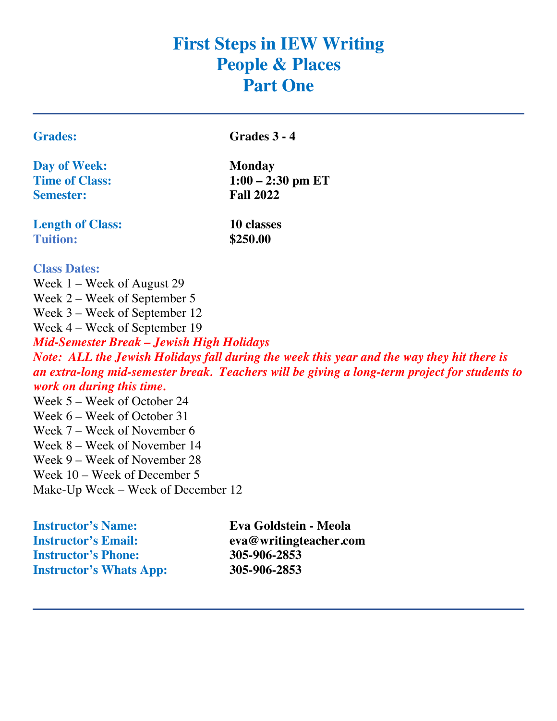# **First Steps in IEW Writing People & Places Part One**

| Trade: |
|--------|
|        |

**Grades: Grades 3 - 4**

**Day of Week: Monday Semester: Fall 2022**

**Time of Class: 1:00 – 2:30 pm ET**

**Length of Class: 10 classes Tuition: \$250.00**

#### **Class Dates:**

Week 1 – Week of August 29 Week 2 – Week of September 5 Week 3 – Week of September 12 Week 4 – Week of September 19 *Mid-Semester Break – Jewish High Holidays Note: ALL the Jewish Holidays fall during the week this year and the way they hit there is an extra-long mid-semester break. Teachers will be giving a long-term project for students to work on during this time.*

Week 5 – Week of October 24 Week 6 – Week of October 31 Week 7 – Week of November 6 Week 8 – Week of November 14 Week 9 – Week of November 28 Week 10 – Week of December 5 Make-Up Week – Week of December 12

**Instructor's Email: eva@writingteacher.com Instructor's Phone: 305-906-2853 Instructor's Whats App: 305-906-2853**

**Instructor's Name: Eva Goldstein - Meola**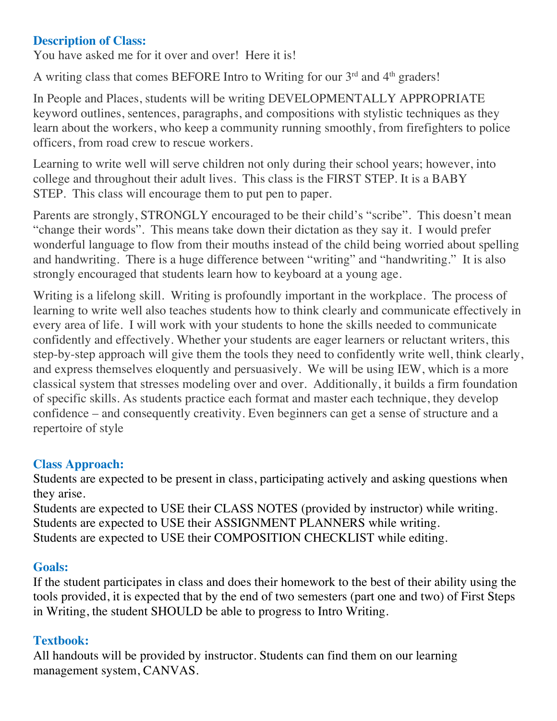## **Description of Class:**

You have asked me for it over and over! Here it is!

A writing class that comes BEFORE Intro to Writing for our 3rd and 4th graders!

In People and Places, students will be writing DEVELOPMENTALLY APPROPRIATE keyword outlines, sentences, paragraphs, and compositions with stylistic techniques as they learn about the workers, who keep a community running smoothly, from firefighters to police officers, from road crew to rescue workers.

Learning to write well will serve children not only during their school years; however, into college and throughout their adult lives. This class is the FIRST STEP. It is a BABY STEP. This class will encourage them to put pen to paper.

Parents are strongly, STRONGLY encouraged to be their child's "scribe". This doesn't mean "change their words". This means take down their dictation as they say it. I would prefer wonderful language to flow from their mouths instead of the child being worried about spelling and handwriting. There is a huge difference between "writing" and "handwriting." It is also strongly encouraged that students learn how to keyboard at a young age.

Writing is a lifelong skill. Writing is profoundly important in the workplace. The process of learning to write well also teaches students how to think clearly and communicate effectively in every area of life. I will work with your students to hone the skills needed to communicate confidently and effectively. Whether your students are eager learners or reluctant writers, this step-by-step approach will give them the tools they need to confidently write well, think clearly, and express themselves eloquently and persuasively. We will be using IEW, which is a more classical system that stresses modeling over and over. Additionally, it builds a firm foundation of specific skills. As students practice each format and master each technique, they develop confidence – and consequently creativity. Even beginners can get a sense of structure and a repertoire of style

# **Class Approach:**

Students are expected to be present in class, participating actively and asking questions when they arise.

Students are expected to USE their CLASS NOTES (provided by instructor) while writing. Students are expected to USE their ASSIGNMENT PLANNERS while writing. Students are expected to USE their COMPOSITION CHECKLIST while editing.

# **Goals:**

If the student participates in class and does their homework to the best of their ability using the tools provided, it is expected that by the end of two semesters (part one and two) of First Steps in Writing, the student SHOULD be able to progress to Intro Writing.

# **Textbook:**

All handouts will be provided by instructor. Students can find them on our learning management system, CANVAS.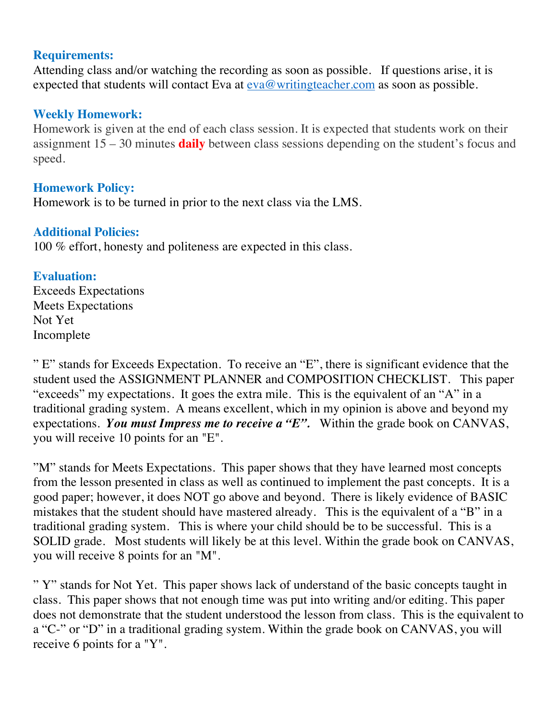#### **Requirements:**

Attending class and/or watching the recording as soon as possible. If questions arise, it is expected that students will contact Eva at <u>eva@writingteacher.com</u> as soon as possible.

## **Weekly Homework:**

Homework is given at the end of each class session. It is expected that students work on their assignment 15 – 30 minutes **daily** between class sessions depending on the student's focus and speed.

### **Homework Policy:**

Homework is to be turned in prior to the next class via the LMS.

#### **Additional Policies:**

100 % effort, honesty and politeness are expected in this class.

## **Evaluation:**

Exceeds Expectations Meets Expectations Not Yet Incomplete

" E" stands for Exceeds Expectation. To receive an "E", there is significant evidence that the student used the ASSIGNMENT PLANNER and COMPOSITION CHECKLIST. This paper "exceeds" my expectations. It goes the extra mile. This is the equivalent of an "A" in a traditional grading system. A means excellent, which in my opinion is above and beyond my expectations. *You must Impress me to receive a "E".* Within the grade book on CANVAS, you will receive 10 points for an "E".

"M" stands for Meets Expectations. This paper shows that they have learned most concepts from the lesson presented in class as well as continued to implement the past concepts. It is a good paper; however, it does NOT go above and beyond. There is likely evidence of BASIC mistakes that the student should have mastered already. This is the equivalent of a "B" in a traditional grading system. This is where your child should be to be successful. This is a SOLID grade. Most students will likely be at this level. Within the grade book on CANVAS, you will receive 8 points for an "M".

" Y" stands for Not Yet. This paper shows lack of understand of the basic concepts taught in class. This paper shows that not enough time was put into writing and/or editing. This paper does not demonstrate that the student understood the lesson from class. This is the equivalent to a "C-" or "D" in a traditional grading system. Within the grade book on CANVAS, you will receive 6 points for a "Y".